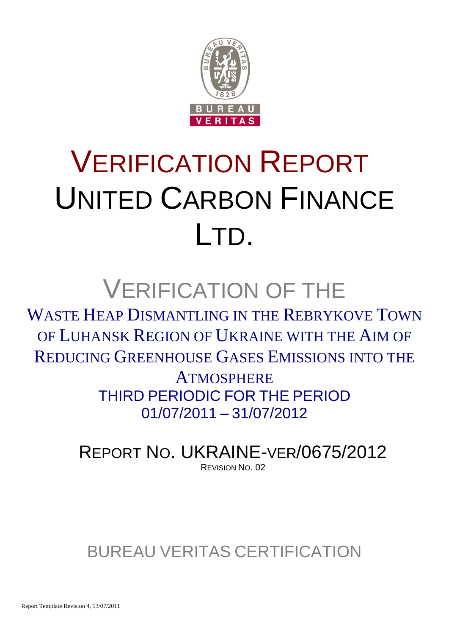

# VERIFICATION REPORT UNITED CARBON FINANCE LTD.

## VERIFICATION OF THE

WASTE HEAP DISMANTLING IN THE REBRYKOVE TOWN OF LUHANSK REGION OF UKRAINE WITH THE AIM OF REDUCING GREENHOUSE GASES EMISSIONS INTO THE

> **ATMOSPHERE** THIRD PERIODIC FOR THE PERIOD 01/07/2011 – 31/07/2012

REPORT NO. UKRAINE-VER/0675/2012 REVISION NO. 02

### BUREAU VERITAS CERTIFICATION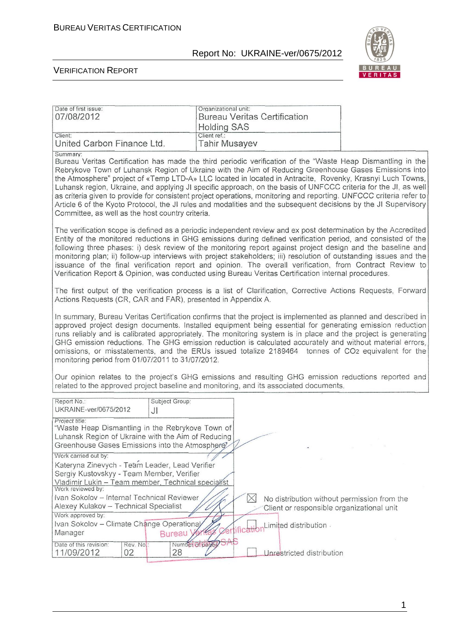Date of first issue: <br>
Organizational unit:

#### Report No: UKRAINE-ver/0675/2012



٦

#### VERIFICATION REPORT

| 07/08/2012                                                                                                                                                                                                                                                                                                                                                                                                                                                                                                                                                                                                                                                                                                                                                   | <b>Bureau Veritas Certification</b><br><b>Holding SAS</b>                                                                                                                                                                                                                                                                                                                                                                                                                                                                                                                                                                                                                               |  |  |  |  |  |  |
|--------------------------------------------------------------------------------------------------------------------------------------------------------------------------------------------------------------------------------------------------------------------------------------------------------------------------------------------------------------------------------------------------------------------------------------------------------------------------------------------------------------------------------------------------------------------------------------------------------------------------------------------------------------------------------------------------------------------------------------------------------------|-----------------------------------------------------------------------------------------------------------------------------------------------------------------------------------------------------------------------------------------------------------------------------------------------------------------------------------------------------------------------------------------------------------------------------------------------------------------------------------------------------------------------------------------------------------------------------------------------------------------------------------------------------------------------------------------|--|--|--|--|--|--|
| Client:<br>United Carbon Finance Ltd.                                                                                                                                                                                                                                                                                                                                                                                                                                                                                                                                                                                                                                                                                                                        | Client ref.:<br><b>Tahir Musayev</b>                                                                                                                                                                                                                                                                                                                                                                                                                                                                                                                                                                                                                                                    |  |  |  |  |  |  |
| Summary:<br>Bureau Veritas Certification has made the third periodic verification of the "Waste Heap Dismantling in the<br>Rebrykove Town of Luhansk Region of Ukraine with the Aim of Reducing Greenhouse Gases Emissions into<br>the Atmosphere" project of «Temp LTD-A» LLC located in located in Antracite, Rovenky, Krasnyi Luch Towns,<br>Luhansk region, Ukraine, and applying JI specific approach, on the basis of UNFCCC criteria for the JI, as well<br>as criteria given to provide for consistent project operations, monitoring and reporting. UNFCCC criteria refer to<br>Article 6 of the Kyoto Protocol, the JI rules and modalities and the subsequent decisions by the JI Supervisory<br>Committee, as well as the host country criteria. |                                                                                                                                                                                                                                                                                                                                                                                                                                                                                                                                                                                                                                                                                         |  |  |  |  |  |  |
|                                                                                                                                                                                                                                                                                                                                                                                                                                                                                                                                                                                                                                                                                                                                                              | The verification scope is defined as a periodic independent review and ex post determination by the Accredited<br>Entity of the monitored reductions in GHG emissions during defined verification period, and consisted of the<br>following three phases: i) desk review of the monitoring report against project design and the baseline and<br>monitoring plan; ii) follow-up interviews with project stakeholders; iii) resolution of outstanding issues and the<br>issuance of the final verification report and opinion. The overall verification, from Contract Review to<br>Verification Report & Opinion, was conducted using Bureau Veritas Certification internal procedures. |  |  |  |  |  |  |
| Actions Requests (CR, CAR and FAR), presented in Appendix A.                                                                                                                                                                                                                                                                                                                                                                                                                                                                                                                                                                                                                                                                                                 | The first output of the verification process is a list of Clarification, Corrective Actions Requests, Forward                                                                                                                                                                                                                                                                                                                                                                                                                                                                                                                                                                           |  |  |  |  |  |  |
| In summary, Bureau Veritas Certification confirms that the project is implemented as planned and described in<br>approved project design documents. Installed equipment being essential for generating emission reduction<br>runs reliably and is calibrated appropriately. The monitoring system is in place and the project is generating<br>GHG emission reductions. The GHG emission reduction is calculated accurately and without material errors,<br>omissions, or misstatements, and the ERUs issued totalize 2189464 tonnes of CO2 equivalent for the<br>monitoring period from 01/07/2011 to 31/07/2012.                                                                                                                                           |                                                                                                                                                                                                                                                                                                                                                                                                                                                                                                                                                                                                                                                                                         |  |  |  |  |  |  |
|                                                                                                                                                                                                                                                                                                                                                                                                                                                                                                                                                                                                                                                                                                                                                              | Our opinion relates to the project's GHG emissions and resulting GHG emission reductions reported and<br>related to the approved project baseline and monitoring, and its associated documents.                                                                                                                                                                                                                                                                                                                                                                                                                                                                                         |  |  |  |  |  |  |
| Subject Group:<br>Report No.:<br>UKRAINE-ver/0675/2012<br>JI                                                                                                                                                                                                                                                                                                                                                                                                                                                                                                                                                                                                                                                                                                 |                                                                                                                                                                                                                                                                                                                                                                                                                                                                                                                                                                                                                                                                                         |  |  |  |  |  |  |
| Project title:<br>"Waste Heap Dismantling in the Rebrykove Town of<br>Luhansk Region of Ukraine with the Aim of Reducing<br>Greenhouse Gases Emissions into the Atmosphere                                                                                                                                                                                                                                                                                                                                                                                                                                                                                                                                                                                   |                                                                                                                                                                                                                                                                                                                                                                                                                                                                                                                                                                                                                                                                                         |  |  |  |  |  |  |
| Work carried out by:<br>Kateryna Zinevych - Team Leader, Lead Verifier<br>Sergiy Kustovskyy - Team Member, Verifier<br>Vladimir Lukin - Team member, Technical specialist<br>Work reviewed by:                                                                                                                                                                                                                                                                                                                                                                                                                                                                                                                                                               |                                                                                                                                                                                                                                                                                                                                                                                                                                                                                                                                                                                                                                                                                         |  |  |  |  |  |  |
| Ivan Sokolov - Internal Technical Reviewer<br>Alexey Kulakov - Technical Specialist<br>Work approved by:                                                                                                                                                                                                                                                                                                                                                                                                                                                                                                                                                                                                                                                     | $\boxtimes$<br>No distribution without permission from the<br>Client or responsible organizational unit                                                                                                                                                                                                                                                                                                                                                                                                                                                                                                                                                                                 |  |  |  |  |  |  |
| Ivan Sokolov - Climate Change Operational<br>Manager<br>Bureau \                                                                                                                                                                                                                                                                                                                                                                                                                                                                                                                                                                                                                                                                                             | Limited distribution.                                                                                                                                                                                                                                                                                                                                                                                                                                                                                                                                                                                                                                                                   |  |  |  |  |  |  |
| Date of this revision:<br>Rev. Nol:<br>11/09/2012<br>02<br>28                                                                                                                                                                                                                                                                                                                                                                                                                                                                                                                                                                                                                                                                                                | Number of pages SA<br>Unrestricted distribution                                                                                                                                                                                                                                                                                                                                                                                                                                                                                                                                                                                                                                         |  |  |  |  |  |  |

1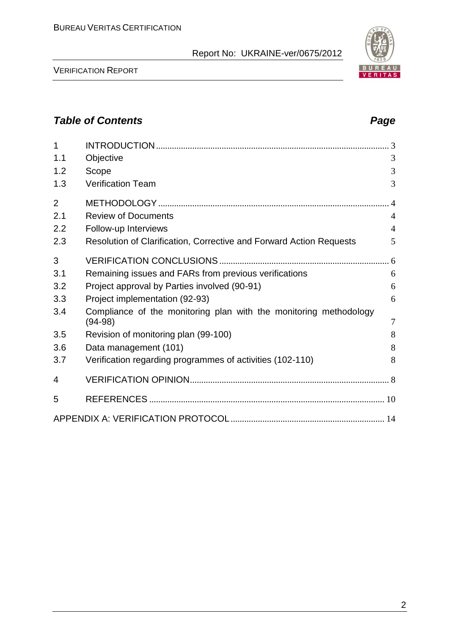VERIFICATION REPORT

### *Table of Contents Page*

| 1              |                                                                                |                |
|----------------|--------------------------------------------------------------------------------|----------------|
| 1.1            | Objective                                                                      | 3              |
| 1.2            | Scope                                                                          | 3              |
| 1.3            | <b>Verification Team</b>                                                       | 3              |
| $\overline{2}$ |                                                                                | $\overline{4}$ |
| 2.1            | <b>Review of Documents</b>                                                     | $\overline{4}$ |
| 2.2            | Follow-up Interviews                                                           | $\overline{4}$ |
| 2.3            | Resolution of Clarification, Corrective and Forward Action Requests            | 5              |
| 3              |                                                                                |                |
| 3.1            | Remaining issues and FARs from previous verifications                          | 6              |
| 3.2            | Project approval by Parties involved (90-91)                                   | 6              |
| 3.3            | Project implementation (92-93)                                                 | 6              |
| 3.4            | Compliance of the monitoring plan with the monitoring methodology<br>$(94-98)$ | 7              |
| 3.5            | Revision of monitoring plan (99-100)                                           | 8              |
| 3.6            | Data management (101)                                                          | 8              |
| 3.7            | Verification regarding programmes of activities (102-110)                      | 8              |
| 4              |                                                                                |                |
| 5              |                                                                                |                |
|                |                                                                                |                |

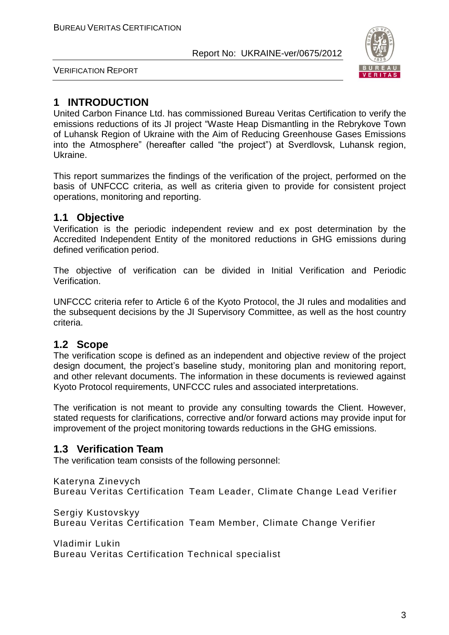

VERIFICATION REPORT

#### **1 INTRODUCTION**

United Carbon Finance Ltd. has commissioned Bureau Veritas Certification to verify the emissions reductions of its JI project "Waste Heap Dismantling in the Rebrykove Town of Luhansk Region of Ukraine with the Aim of Reducing Greenhouse Gases Emissions into the Atmosphere" (hereafter called "the project") at Sverdlovsk, Luhansk region, Ukraine.

This report summarizes the findings of the verification of the project, performed on the basis of UNFCCC criteria, as well as criteria given to provide for consistent project operations, monitoring and reporting.

#### **1.1 Objective**

Verification is the periodic independent review and ex post determination by the Accredited Independent Entity of the monitored reductions in GHG emissions during defined verification period.

The objective of verification can be divided in Initial Verification and Periodic Verification.

UNFCCC criteria refer to Article 6 of the Kyoto Protocol, the JI rules and modalities and the subsequent decisions by the JI Supervisory Committee, as well as the host country criteria.

#### **1.2 Scope**

The verification scope is defined as an independent and objective review of the project design document, the project's baseline study, monitoring plan and monitoring report, and other relevant documents. The information in these documents is reviewed against Kyoto Protocol requirements, UNFCCC rules and associated interpretations.

The verification is not meant to provide any consulting towards the Client. However, stated requests for clarifications, corrective and/or forward actions may provide input for improvement of the project monitoring towards reductions in the GHG emissions.

#### **1.3 Verification Team**

The verification team consists of the following personnel:

Kateryna Zinevych Bureau Veritas Certification Team Leader, Climate Change Lead Verifier

Sergiy Kustovskyy Bureau Veritas Certification Team Member, Climate Change Verifier

Vladimir Lukin Bureau Veritas Certification Technical specialist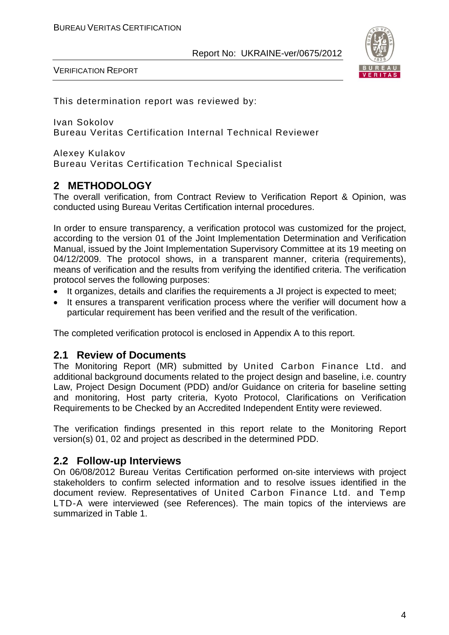

VERIFICATION REPORT

This determination report was reviewed by:

Ivan Sokolov Bureau Veritas Certification Internal Technical Reviewer

Alexey Kulakov Bureau Veritas Certification Technical Specialist

#### **2 METHODOLOGY**

The overall verification, from Contract Review to Verification Report & Opinion, was conducted using Bureau Veritas Certification internal procedures.

In order to ensure transparency, a verification protocol was customized for the project, according to the version 01 of the Joint Implementation Determination and Verification Manual, issued by the Joint Implementation Supervisory Committee at its 19 meeting on 04/12/2009. The protocol shows, in a transparent manner, criteria (requirements), means of verification and the results from verifying the identified criteria. The verification protocol serves the following purposes:

- It organizes, details and clarifies the requirements a JI project is expected to meet;
- It ensures a transparent verification process where the verifier will document how a particular requirement has been verified and the result of the verification.

The completed verification protocol is enclosed in Appendix A to this report.

#### **2.1 Review of Documents**

The Monitoring Report (MR) submitted by United Carbon Finance Ltd. and additional background documents related to the project design and baseline, i.e. country Law, Project Design Document (PDD) and/or Guidance on criteria for baseline setting and monitoring, Host party criteria, Kyoto Protocol, Clarifications on Verification Requirements to be Checked by an Accredited Independent Entity were reviewed.

The verification findings presented in this report relate to the Monitoring Report version(s) 01, 02 and project as described in the determined PDD.

#### **2.2 Follow-up Interviews**

On 06/08/2012 Bureau Veritas Certification performed on-site interviews with project stakeholders to confirm selected information and to resolve issues identified in the document review. Representatives of United Carbon Finance Ltd. and Temp LTD-A were interviewed (see References). The main topics of the interviews are summarized in Table 1.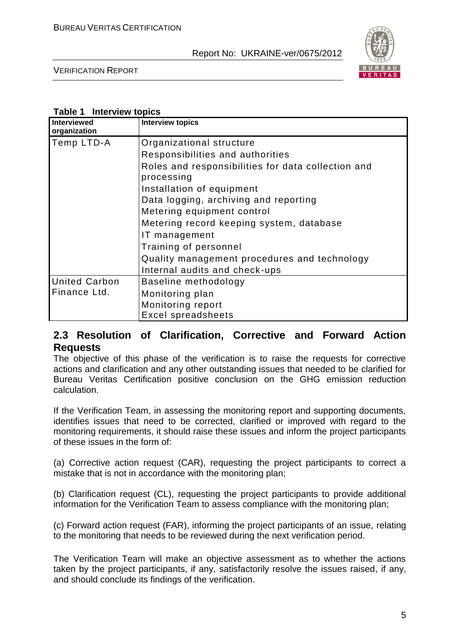

VERIFICATION REPORT

#### **Table 1 Interview topics**

| Interviewed<br>organization | <b>Interview topics</b>                                          |
|-----------------------------|------------------------------------------------------------------|
| Temp LTD-A                  | Organizational structure                                         |
|                             | Responsibilities and authorities                                 |
|                             | Roles and responsibilities for data collection and<br>processing |
|                             | Installation of equipment                                        |
|                             | Data logging, archiving and reporting                            |
|                             | Metering equipment control                                       |
|                             | Metering record keeping system, database                         |
|                             | IT management                                                    |
|                             | Training of personnel                                            |
|                             | Quality management procedures and technology                     |
|                             | Internal audits and check-ups                                    |
| <b>United Carbon</b>        | Baseline methodology                                             |
| Finance Ltd.                | Monitoring plan                                                  |
|                             | Monitoring report                                                |
|                             | <b>Excel spreadsheets</b>                                        |

#### **2.3 Resolution of Clarification, Corrective and Forward Action Requests**

The objective of this phase of the verification is to raise the requests for corrective actions and clarification and any other outstanding issues that needed to be clarified for Bureau Veritas Certification positive conclusion on the GHG emission reduction calculation.

If the Verification Team, in assessing the monitoring report and supporting documents, identifies issues that need to be corrected, clarified or improved with regard to the monitoring requirements, it should raise these issues and inform the project participants of these issues in the form of:

(a) Corrective action request (CAR), requesting the project participants to correct a mistake that is not in accordance with the monitoring plan;

(b) Clarification request (CL), requesting the project participants to provide additional information for the Verification Team to assess compliance with the monitoring plan;

(c) Forward action request (FAR), informing the project participants of an issue, relating to the monitoring that needs to be reviewed during the next verification period.

The Verification Team will make an objective assessment as to whether the actions taken by the project participants, if any, satisfactorily resolve the issues raised, if any, and should conclude its findings of the verification.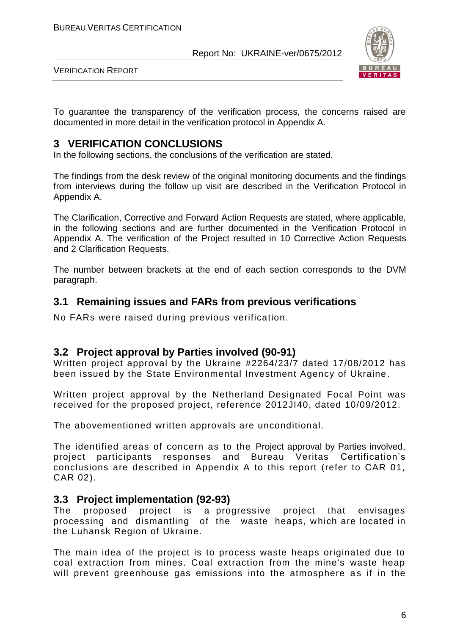

VERIFICATION REPORT

To guarantee the transparency of the verification process, the concerns raised are documented in more detail in the verification protocol in Appendix A.

#### **3 VERIFICATION CONCLUSIONS**

In the following sections, the conclusions of the verification are stated.

The findings from the desk review of the original monitoring documents and the findings from interviews during the follow up visit are described in the Verification Protocol in Appendix A.

The Clarification, Corrective and Forward Action Requests are stated, where applicable, in the following sections and are further documented in the Verification Protocol in Appendix A. The verification of the Project resulted in 10 Corrective Action Requests and 2 Clarification Requests.

The number between brackets at the end of each section corresponds to the DVM paragraph.

#### **3.1 Remaining issues and FARs from previous verifications**

No FARs were raised during previous verification.

#### **3.2 Project approval by Parties involved (90-91)**

Written project approval by the Ukraine #2264/23/7 dated 17/08/2012 has been issued by the State Environmental Investment Agency of Ukraine.

Written project approval by the Netherland Designated Focal Point was received for the proposed project, reference 2012JI40, dated 10/09/2012.

The abovementioned written approvals are unconditional.

The identified areas of concern as to the Project approval by Parties involved, project participants responses and Bureau Veritas Certification's conclusions are described in Appendix A to this report (refer to CAR 01, CAR 02).

#### **3.3 Project implementation (92-93)**

The proposed project is a progressive project that envisages processing and dismantling of the waste heaps, which are located in the Luhansk Region of Ukraine.

The main idea of the project is to process waste heaps originated due to coal extraction from mines. Coal extraction from the mine's waste heap will prevent greenhouse gas emissions into the atmosphere as if in the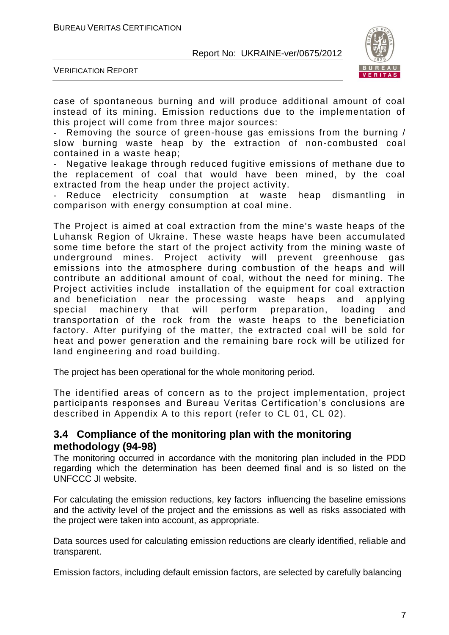

VERIFICATION REPORT

case of spontaneous burning and will produce additional amount of coal instead of its mining. Emission reductions due to the implementation of this project will come from three major sources:

Removing the source of green-house gas emissions from the burning / slow burning waste heap by the extraction of non -combusted coal contained in a waste heap;

Negative leakage through reduced fugitive emissions of methane due to the replacement of coal that would have been mined, by the coal extracted from the heap under the project activity.

Reduce electricity consumption at waste heap dismantling in comparison with energy consumption at coal mine.

The Project is aimed at coal extraction from the mine's waste heaps of the Luhansk Region of Ukraine. These waste heaps have been accumulated some time before the start of the project activity from the mining waste of underground mines. Project activity will prevent greenhouse gas emissions into the atmosphere during combustion of the heaps and will contribute an additional amount of coal, without the need for mining. The Project activities include installation of the equipment for coal extraction and beneficiation near the processing waste heaps and applying special machinery that will perform preparation, loading and transportation of the rock from the waste heaps to the beneficiation factory. After purifying of the matter, the extracted coal will be sold for heat and power generation and the remaining bare rock will be utilized for land engineering and road building.

The project has been operational for the whole monitoring period.

The identified areas of concern as to the project implementation, project participants responses and Bureau Veritas Certification's conclusions are described in Appendix A to this report (refer to CL 01, CL 02).

#### **3.4 Compliance of the monitoring plan with the monitoring methodology (94-98)**

The monitoring occurred in accordance with the monitoring plan included in the PDD regarding which the determination has been deemed final and is so listed on the UNFCCC JI website.

For calculating the emission reductions, key factors influencing the baseline emissions and the activity level of the project and the emissions as well as risks associated with the project were taken into account, as appropriate.

Data sources used for calculating emission reductions are clearly identified, reliable and transparent.

Emission factors, including default emission factors, are selected by carefully balancing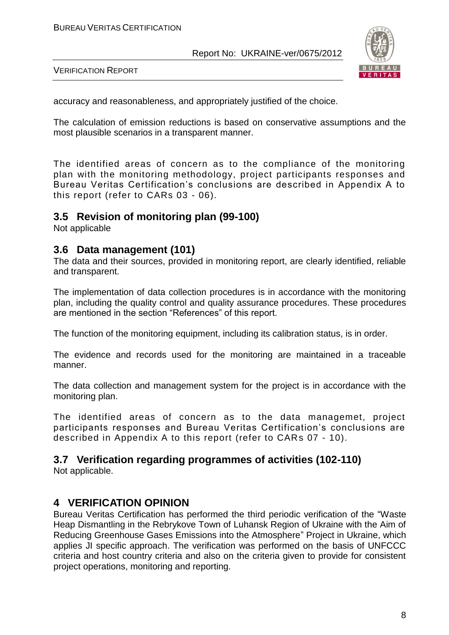

VERIFICATION REPORT

accuracy and reasonableness, and appropriately justified of the choice.

The calculation of emission reductions is based on conservative assumptions and the most plausible scenarios in a transparent manner.

The identified areas of concern as to the compliance of the monitoring plan with the monitoring methodology, project participants responses and Bureau Veritas Certification's conclusions are described in Appendix A to this report (refer to CARs 03 - 06).

#### **3.5 Revision of monitoring plan (99-100)**

Not applicable

#### **3.6 Data management (101)**

The data and their sources, provided in monitoring report, are clearly identified, reliable and transparent.

The implementation of data collection procedures is in accordance with the monitoring plan, including the quality control and quality assurance procedures. These procedures are mentioned in the section "References" of this report.

The function of the monitoring equipment, including its calibration status, is in order.

The evidence and records used for the monitoring are maintained in a traceable manner.

The data collection and management system for the project is in accordance with the monitoring plan.

The identified areas of concern as to the data managemet, project participants responses and Bureau Veritas Certification's conclusions are described in Appendix A to this report (refer to CARs 07 - 10).

#### **3.7 Verification regarding programmes of activities (102-110)**

Not applicable.

#### **4 VERIFICATION OPINION**

Bureau Veritas Certification has performed the third periodic verification of the "Waste Heap Dismantling in the Rebrykove Town of Luhansk Region of Ukraine with the Aim of Reducing Greenhouse Gases Emissions into the Atmosphere" Project in Ukraine, which applies JI specific approach. The verification was performed on the basis of UNFCCC criteria and host country criteria and also on the criteria given to provide for consistent project operations, monitoring and reporting.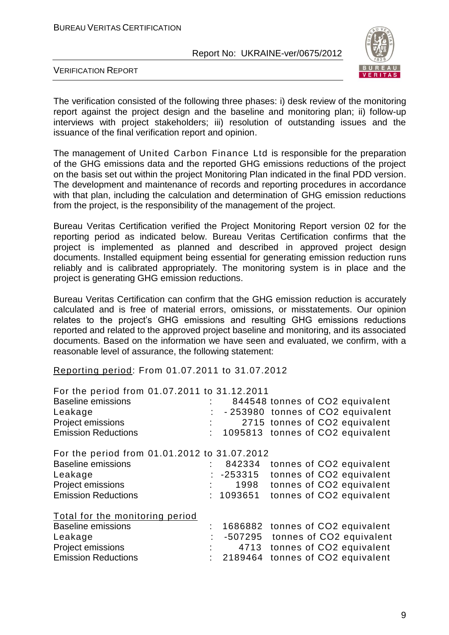

VERIFICATION REPORT

The verification consisted of the following three phases: i) desk review of the monitoring report against the project design and the baseline and monitoring plan; ii) follow-up interviews with project stakeholders; iii) resolution of outstanding issues and the issuance of the final verification report and opinion.

The management of United Carbon Finance Ltd is responsible for the preparation of the GHG emissions data and the reported GHG emissions reductions of the project on the basis set out within the project Monitoring Plan indicated in the final PDD version. The development and maintenance of records and reporting procedures in accordance with that plan, including the calculation and determination of GHG emission reductions from the project, is the responsibility of the management of the project.

Bureau Veritas Certification verified the Project Monitoring Report version 02 for the reporting period as indicated below. Bureau Veritas Certification confirms that the project is implemented as planned and described in approved project design documents. Installed equipment being essential for generating emission reduction runs reliably and is calibrated appropriately. The monitoring system is in place and the project is generating GHG emission reductions.

Bureau Veritas Certification can confirm that the GHG emission reduction is accurately calculated and is free of material errors, omissions, or misstatements. Our opinion relates to the project's GHG emissions and resulting GHG emissions reductions reported and related to the approved project baseline and monitoring, and its associated documents. Based on the information we have seen and evaluated, we confirm, with a reasonable level of assurance, the following statement:

Reporting period: From 01.07.2011 to 31.07.2012

| For the period from 01.07.2011 to 31.12.2011 |    |             |  |                                  |
|----------------------------------------------|----|-------------|--|----------------------------------|
| <b>Baseline emissions</b>                    |    |             |  | 844548 tonnes of CO2 equivalent  |
| Leakage                                      |    |             |  | -253980 tonnes of CO2 equivalent |
| Project emissions                            |    |             |  | 2715 tonnes of CO2 equivalent    |
| <b>Emission Reductions</b>                   |    |             |  | 1095813 tonnes of CO2 equivalent |
| For the period from 01.01.2012 to 31.07.2012 |    |             |  |                                  |
| <b>Baseline emissions</b>                    |    | 842334      |  | tonnes of CO2 equivalent         |
| Leakage                                      |    | $: -253315$ |  | tonnes of CO2 equivalent         |
| Project emissions                            |    | 1998        |  | tonnes of CO2 equivalent         |
| <b>Emission Reductions</b>                   |    | : 1093651   |  | tonnes of CO2 equivalent         |
| Total for the monitoring period              |    |             |  |                                  |
| <b>Baseline emissions</b>                    | t. |             |  | 1686882 tonnes of CO2 equivalent |
| Leakage                                      |    |             |  | -507295 tonnes of CO2 equivalent |
| Project emissions                            |    |             |  | 4713 tonnes of CO2 equivalent    |
| <b>Emission Reductions</b>                   |    | 2189464     |  | tonnes of CO2 equivalent         |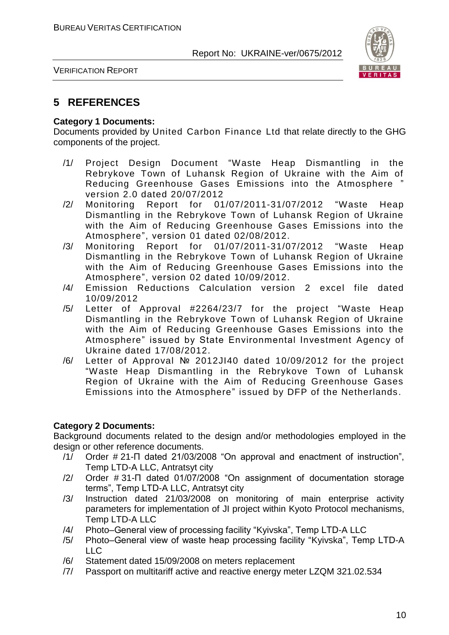

VERIFICATION REPORT

#### **5 REFERENCES**

#### **Category 1 Documents:**

Documents provided by United Carbon Finance Ltd that relate directly to the GHG components of the project.

- /1/ Project Design Document "Waste Heap Dismantling in the Rebrykove Town of Luhansk Region of Ukraine with the Aim of Reducing Greenhouse Gases Emissions into the Atmosphere " version 2.0 dated 20/07/2012
- /2/ Monitoring Report for 01/07/2011-31/07/2012 "Waste Heap Dismantling in the Rebrykove Town of Luhansk Region of Ukraine with the Aim of Reducing Greenhouse Gases Emissions into the Atmosphere", version 01 dated 02/08/2012.
- /3/ Monitoring Report for 01/07/2011-31/07/2012 "Waste Heap Dismantling in the Rebrykove Town of Luhansk Region of Ukraine with the Aim of Reducing Greenhouse Gases Emissions into the Atmosphere", version 02 dated 10/09/2012.
- /4/ Emission Reductions Calculation version 2 excel file dated 10/09/2012
- /5/ Letter of Approval #2264/23/7 for the project "Waste Heap Dismantling in the Rebrykove Town of Luhansk Region of Ukraine with the Aim of Reducing Greenhouse Gases Emissions into the Atmosphere" issued by State Environmental Investment Agency of Ukraine dated 17/08/2012.
- /6/ Letter of Approval № 2012JI40 dated 10/09/2012 for the project "Waste Heap Dismantling in the Rebrykove Town of Luhansk Region of Ukraine with the Aim of Reducing Greenhouse Gases Emissions into the Atmosphere" issued by DFP of the Netherlands.

#### **Category 2 Documents:**

Background documents related to the design and/or methodologies employed in the design or other reference documents.

- /1/ Order # 21-П dated 21/03/2008 "On approval and enactment of instruction", Temp LTD-A LLC, Antratsyt city
- /2/ Order # 31-П dated 01/07/2008 "On assignment of documentation storage terms", Temp LTD-A LLC, Antratsyt city
- /3/ Instruction dated 21/03/2008 on monitoring of main enterprise activity parameters for implementation of JI project within Kyoto Protocol mechanisms, Temp LTD-A LLC
- /4/ Photo–General view of processing facility "Kyivska", Temp LTD-A LLC
- /5/ Photo–General view of waste heap processing facility "Kyivska", Temp LTD-A  $\overline{L}$
- /6/ Statement dated 15/09/2008 on meters replacement
- /7/ Passport on multitariff active and reactive energy meter LZQM 321.02.534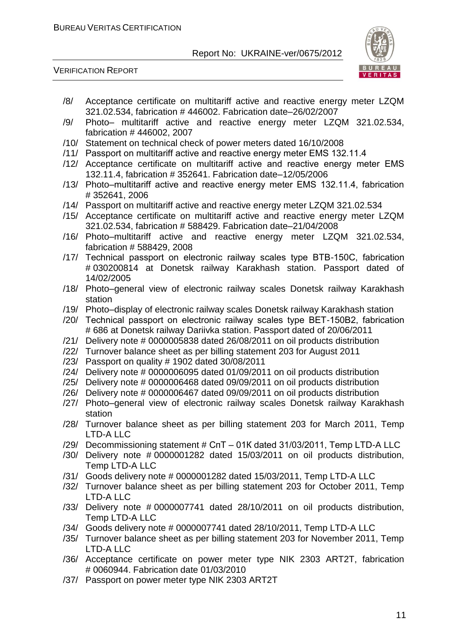VERIFICATION REPORT



- /8/ Acceptance certificate on multitariff active and reactive energy meter LZQM 321.02.534, fabrication # 446002. Fabrication date–26/02/2007
- /9/ Photo– multitariff active and reactive energy meter LZQM 321.02.534, fabrication # 446002, 2007
- /10/ Statement on technical check of power meters dated 16/10/2008
- /11/ Passport on multitariff active and reactive energy meter ЕМS 132.11.4
- /12/ Acceptance certificate on multitariff active and reactive energy meter ЕМS 132.11.4, fabrication # 352641. Fabrication date–12/05/2006
- /13/ Photo–multitariff active and reactive energy meter ЕМS 132.11.4, fabrication # 352641, 2006
- /14/ Passport on multitariff active and reactive energy meter LZQM 321.02.534
- /15/ Acceptance certificate on multitariff active and reactive energy meter LZQM 321.02.534, fabrication # 588429. Fabrication date–21/04/2008
- /16/ Photo–multitariff active and reactive energy meter LZQM 321.02.534, fabrication # 588429, 2008
- /17/ Technical passport on electronic railway scales type ВТВ-150С, fabrication # 030200814 at Donetsk railway Karakhash station. Passport dated of 14/02/2005
- /18/ Photo–general view of electronic railway scales Donetsk railway Karakhash station
- /19/ Photo–display of electronic railway scales Donetsk railway Karakhash station
- /20/ Technical passport on electronic railway scales type ВЕТ-150В2, fabrication # 686 at Donetsk railway Dariivka station. Passport dated of 20/06/2011
- /21/ Delivery note # 0000005838 dated 26/08/2011 on oil products distribution
- /22/ Turnover balance sheet as per billing statement 203 for August 2011
- /23/ Passport on quality # 1902 dated 30/08/2011
- /24/ Delivery note # 0000006095 dated 01/09/2011 on oil products distribution
- /25/ Delivery note # 0000006468 dated 09/09/2011 on oil products distribution
- /26/ Delivery note # 0000006467 dated 09/09/2011 on oil products distribution
- /27/ Photo–general view of electronic railway scales Donetsk railway Karakhash station
- /28/ Turnover balance sheet as per billing statement 203 for March 2011, Temp LTD-A LLC
- /29/ Decommissioning statement # СпТ 01К dated 31/03/2011, Temp LTD-A LLC
- /30/ Delivery note # 0000001282 dated 15/03/2011 on oil products distribution, Temp LTD-A LLC
- /31/ Goods delivery note # 0000001282 dated 15/03/2011, Temp LTD-A LLC
- /32/ Turnover balance sheet as per billing statement 203 for October 2011, Temp LTD-A LLC
- /33/ Delivery note # 0000007741 dated 28/10/2011 on oil products distribution, Temp LTD-A LLC
- /34/ Goods delivery note # 0000007741 dated 28/10/2011, Temp LTD-A LLC
- /35/ Turnover balance sheet as per billing statement 203 for November 2011, Temp LTD-A LLC
- /36/ Acceptance certificate on power meter type NIK 2303 ART2T, fabrication # 0060944. Fabrication date 01/03/2010
- /37/ Passport on power meter type NIK 2303 ART2T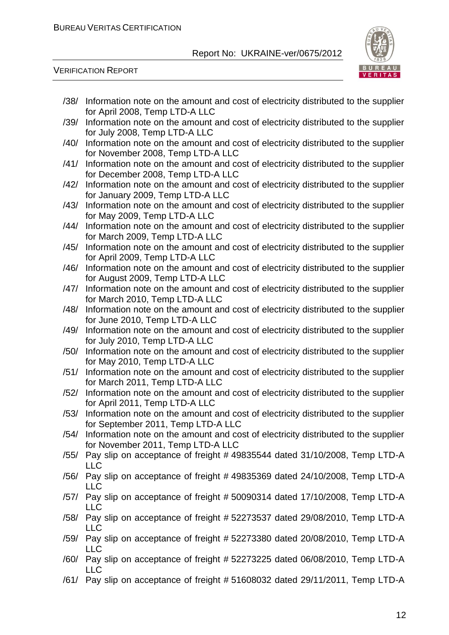

VERIFICATION REPORT

| /38/ | Information note on the amount and cost of electricity distributed to the supplier<br>for April 2008, Temp LTD-A LLC          |
|------|-------------------------------------------------------------------------------------------------------------------------------|
| /39/ | Information note on the amount and cost of electricity distributed to the supplier<br>for July 2008, Temp LTD-A LLC           |
| /40/ | Information note on the amount and cost of electricity distributed to the supplier<br>for November 2008, Temp LTD-A LLC       |
| /41/ | Information note on the amount and cost of electricity distributed to the supplier<br>for December 2008, Temp LTD-A LLC       |
| /42/ | Information note on the amount and cost of electricity distributed to the supplier<br>for January 2009, Temp LTD-A LLC        |
| /43/ | Information note on the amount and cost of electricity distributed to the supplier                                            |
| /44/ | for May 2009, Temp LTD-A LLC<br>Information note on the amount and cost of electricity distributed to the supplier            |
| /45/ | for March 2009, Temp LTD-A LLC<br>Information note on the amount and cost of electricity distributed to the supplier          |
| /46/ | for April 2009, Temp LTD-A LLC<br>Information note on the amount and cost of electricity distributed to the supplier          |
| /47/ | for August 2009, Temp LTD-A LLC<br>Information note on the amount and cost of electricity distributed to the supplier         |
| /48/ | for March 2010, Temp LTD-A LLC<br>Information note on the amount and cost of electricity distributed to the supplier          |
| /49/ | for June 2010, Temp LTD-A LLC<br>Information note on the amount and cost of electricity distributed to the supplier           |
| /50/ | for July 2010, Temp LTD-A LLC<br>Information note on the amount and cost of electricity distributed to the supplier           |
| /51/ | for May 2010, Temp LTD-A LLC<br>Information note on the amount and cost of electricity distributed to the supplier            |
| /52/ | for March 2011, Temp LTD-A LLC<br>Information note on the amount and cost of electricity distributed to the supplier          |
| /53/ | for April 2011, Temp LTD-A LLC<br>Information note on the amount and cost of electricity distributed to the supplier          |
|      | for September 2011, Temp LTD-A LLC<br>/54/ Information note on the amount and cost of electricity distributed to the supplier |
|      | for November 2011, Temp LTD-A LLC<br>/55/ Pay slip on acceptance of freight #49835544 dated 31/10/2008, Temp LTD-A            |
| /56/ | <b>LLC</b><br>Pay slip on acceptance of freight #49835369 dated 24/10/2008, Temp LTD-A                                        |
|      | <b>LLC</b><br>/57/ Pay slip on acceptance of freight #50090314 dated 17/10/2008, Temp LTD-A                                   |
| /58/ | <b>LLC</b><br>Pay slip on acceptance of freight #52273537 dated 29/08/2010, Temp LTD-A                                        |
|      | <b>LLC</b><br>/59/ Pay slip on acceptance of freight #52273380 dated 20/08/2010, Temp LTD-A                                   |
|      | <b>LLC</b><br>/60/ Pay slip on acceptance of freight #52273225 dated 06/08/2010, Temp LTD-A                                   |
|      | <b>LLC</b><br>/61/ Pay slip on acceptance of freight #51608032 dated 29/11/2011, Temp LTD-A                                   |
|      |                                                                                                                               |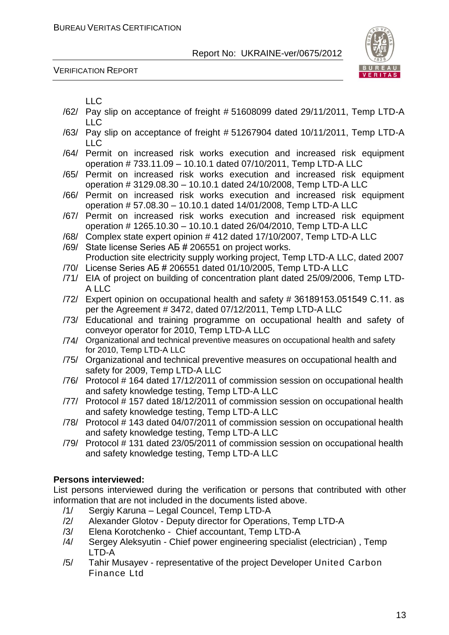

VERIFICATION REPORT

|  | × | ۰.<br>v<br>- |
|--|---|--------------|

- /62/ Pay slip on acceptance of freight # 51608099 dated 29/11/2011, Temp LTD-A LLC
- /63/ Pay slip on acceptance of freight # 51267904 dated 10/11/2011, Temp LTD-A LLC
- /64/ Permit on increased risk works execution and increased risk equipment operation # 733.11.09 – 10.10.1 dated 07/10/2011, Temp LTD-A LLC
- /65/ Permit on increased risk works execution and increased risk equipment operation # 3129.08.30 – 10.10.1 dated 24/10/2008, Temp LTD-A LLC
- /66/ Permit on increased risk works execution and increased risk equipment operation # 57.08.30 – 10.10.1 dated 14/01/2008, Temp LTD-A LLC
- /67/ Permit on increased risk works execution and increased risk equipment operation # 1265.10.30 – 10.10.1 dated 26/04/2010, Temp LTD-A LLC
- /68/ Complex state expert opinion # 412 dated 17/10/2007, Temp LTD-A LLC
- /69/ State license Series АБ # 206551 on project works. Production site electricity supply working project, Temp LTD-A LLC, dated 2007
- /70/ License Series АБ # 206551 dated 01/10/2005, Temp LTD-A LLC
- /71/ EIA of project on building of concentration plant dated 25/09/2006, Temp LTD-A LLC
- /72/ Expert opinion on occupational health and safety # 36189153.051549 С.11. as per the Agreement # 3472, dated 07/12/2011, Temp LTD-A LLC
- /73/ Educational and training programme on occupational health and safety of conveyor operator for 2010, Temp LTD-A LLC
- /74/ Organizational and technical preventive measures on occupational health and safety for 2010, Temp LTD-A LLC
- /75/ Organizational and technical preventive measures on occupational health and safety for 2009, Temp LTD-A LLC
- /76/ Protocol # 164 dated 17/12/2011 of commission session on occupational health and safety knowledge testing, Temp LTD-A LLC
- /77/ Protocol # 157 dated 18/12/2011 of commission session on occupational health and safety knowledge testing, Temp LTD-A LLC
- /78/ Protocol # 143 dated 04/07/2011 of commission session on occupational health and safety knowledge testing, Temp LTD-A LLC
- /79/ Protocol # 131 dated 23/05/2011 of commission session on occupational health and safety knowledge testing, Temp LTD-A LLC

#### **Persons interviewed:**

List persons interviewed during the verification or persons that contributed with other information that are not included in the documents listed above.

- /1/ Sergiy Karuna Legal Councel, Temp LTD-A
- /2/ Alexander Glotov Deputy director for Operations, Temp LTD-A
- /3/ Elena Korotchenko Chief accountant, Temp LTD-A
- /4/ Sergey Aleksyutin Chief power engineering specialist (electrician) , Temp LTD-A
- /5/ Tahir Musayev representative of the project Developer United Carbon Finance Ltd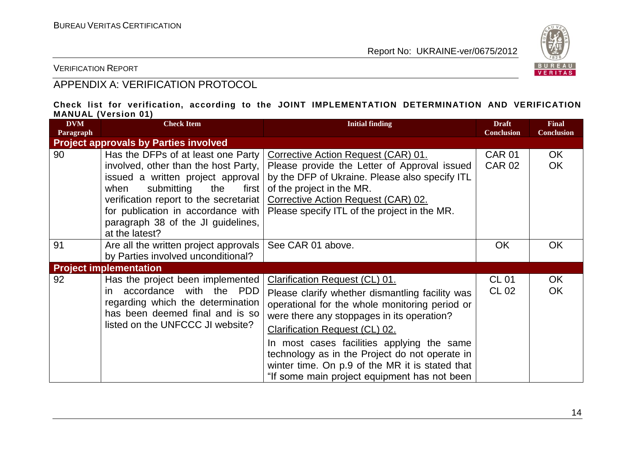

VERIFICATION REPORT

#### APPENDIX A: VERIFICATION PROTOCOL

#### **Check list for verification, according to the JOINT IMPLEMENTATION DETERMINATION AND VERIFICATION MANUAL (Version 01)**

| <b>DVM</b><br>Paragraph | <b>Check Item</b>                                                                                                                                                                                                                                                                               | <b>Initial finding</b>                                                                                                                                                                                                                                                                                                                                                                                                        | <b>Draft</b><br><b>Conclusion</b> | <b>Final</b><br><b>Conclusion</b> |
|-------------------------|-------------------------------------------------------------------------------------------------------------------------------------------------------------------------------------------------------------------------------------------------------------------------------------------------|-------------------------------------------------------------------------------------------------------------------------------------------------------------------------------------------------------------------------------------------------------------------------------------------------------------------------------------------------------------------------------------------------------------------------------|-----------------------------------|-----------------------------------|
|                         | <b>Project approvals by Parties involved</b>                                                                                                                                                                                                                                                    |                                                                                                                                                                                                                                                                                                                                                                                                                               |                                   |                                   |
| 90                      | Has the DFPs of at least one Party<br>involved, other than the host Party,<br>issued a written project approval<br>submitting<br>when<br>the<br>first  <br>verification report to the secretariat<br>for publication in accordance with<br>paragraph 38 of the JI guidelines,<br>at the latest? | Corrective Action Request (CAR) 01.<br>Please provide the Letter of Approval issued<br>by the DFP of Ukraine. Please also specify ITL<br>of the project in the MR.<br>Corrective Action Request (CAR) 02.<br>Please specify ITL of the project in the MR.                                                                                                                                                                     | <b>CAR 01</b><br><b>CAR 02</b>    | OK.<br><b>OK</b>                  |
| 91                      | Are all the written project approvals<br>by Parties involved unconditional?                                                                                                                                                                                                                     | See CAR 01 above.                                                                                                                                                                                                                                                                                                                                                                                                             | <b>OK</b>                         | <b>OK</b>                         |
|                         | <b>Project implementation</b>                                                                                                                                                                                                                                                                   |                                                                                                                                                                                                                                                                                                                                                                                                                               |                                   |                                   |
| 92                      | Has the project been implemented<br>accordance with the PDD<br>in.<br>regarding which the determination<br>has been deemed final and is so<br>listed on the UNFCCC JI website?                                                                                                                  | Clarification Request (CL) 01.<br>Please clarify whether dismantling facility was<br>operational for the whole monitoring period or<br>were there any stoppages in its operation?<br><b>Clarification Request (CL) 02.</b><br>In most cases facilities applying the same<br>technology as in the Project do not operate in<br>winter time. On p.9 of the MR it is stated that<br>"If some main project equipment has not been | <b>CL 01</b><br>CL 02             | OK<br><b>OK</b>                   |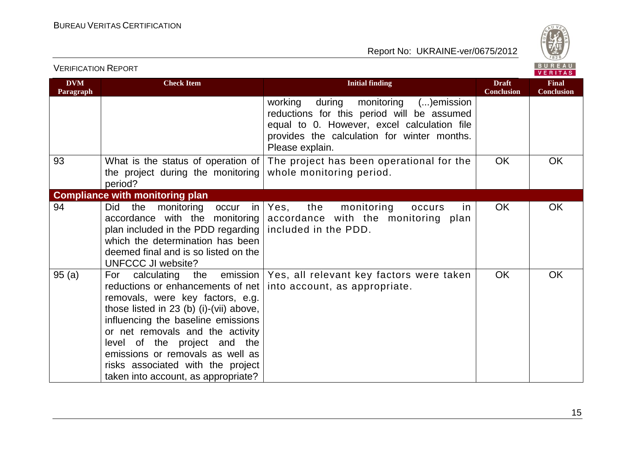

| <b>VERIFICATION REPORT</b> |                                                                                                                                                                                                                                                                                                                                                                                                        |                                                                                                                                                                                                            |                                   | BUREAU<br><b>VERITAS</b>          |
|----------------------------|--------------------------------------------------------------------------------------------------------------------------------------------------------------------------------------------------------------------------------------------------------------------------------------------------------------------------------------------------------------------------------------------------------|------------------------------------------------------------------------------------------------------------------------------------------------------------------------------------------------------------|-----------------------------------|-----------------------------------|
| <b>DVM</b><br>Paragraph    | <b>Check Item</b>                                                                                                                                                                                                                                                                                                                                                                                      | <b>Initial finding</b>                                                                                                                                                                                     | <b>Draft</b><br><b>Conclusion</b> | <b>Final</b><br><b>Conclusion</b> |
|                            |                                                                                                                                                                                                                                                                                                                                                                                                        | during<br>monitoring () emission<br>working<br>reductions for this period will be assumed<br>equal to 0. However, excel calculation file<br>provides the calculation for winter months.<br>Please explain. |                                   |                                   |
| 93                         | What is the status of operation of<br>the project during the monitoring<br>period?                                                                                                                                                                                                                                                                                                                     | The project has been operational for the<br>whole monitoring period.                                                                                                                                       | OK                                | OK                                |
|                            | <b>Compliance with monitoring plan</b>                                                                                                                                                                                                                                                                                                                                                                 |                                                                                                                                                                                                            |                                   |                                   |
| 94                         | <b>Did</b><br>the<br>monitoring<br>occur<br>accordance with the monitoring<br>plan included in the PDD regarding<br>which the determination has been<br>deemed final and is so listed on the<br>UNFCCC JI website?                                                                                                                                                                                     | the<br>in   Yes,<br>monitoring<br>occurs<br>In<br>accordance with the monitoring plan<br>included in the PDD.                                                                                              | <b>OK</b>                         | OK                                |
| 95(a)                      | For calculating<br>the<br>reductions or enhancements of net   into account, as appropriate.<br>removals, were key factors, e.g.<br>those listed in $23$ (b) (i)-(vii) above,<br>influencing the baseline emissions<br>or net removals and the activity<br>level of the project and the<br>emissions or removals as well as<br>risks associated with the project<br>taken into account, as appropriate? | emission   Yes, all relevant key factors were taken                                                                                                                                                        | OK                                | OK                                |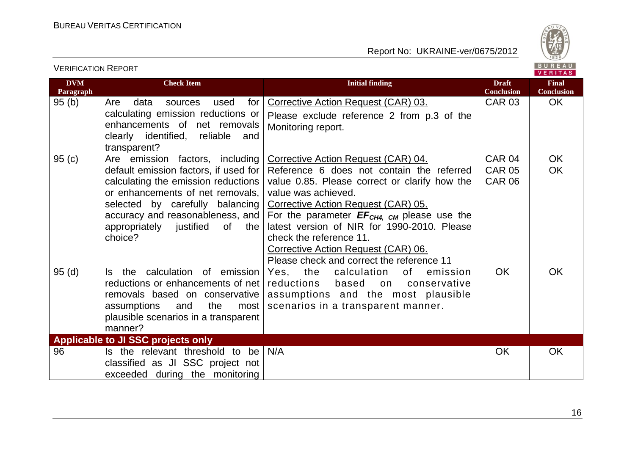

| <b>VERIFICATION REPORT</b> |                                                                                                                                                                                                                                                                            |                                                                                                                                                                                                                                                                                                                                                                                                                  |                                                 | BUREAU<br><b>VERITAS</b>          |
|----------------------------|----------------------------------------------------------------------------------------------------------------------------------------------------------------------------------------------------------------------------------------------------------------------------|------------------------------------------------------------------------------------------------------------------------------------------------------------------------------------------------------------------------------------------------------------------------------------------------------------------------------------------------------------------------------------------------------------------|-------------------------------------------------|-----------------------------------|
| <b>DVM</b><br>Paragraph    | <b>Check Item</b>                                                                                                                                                                                                                                                          | <b>Initial finding</b>                                                                                                                                                                                                                                                                                                                                                                                           | <b>Draft</b><br><b>Conclusion</b>               | <b>Final</b><br><b>Conclusion</b> |
| 95(b)                      | Are<br>for<br>data<br>used<br>sources<br>calculating emission reductions or<br>enhancements of net removals<br>clearly identified, reliable<br>and<br>transparent?                                                                                                         | Corrective Action Request (CAR) 03.<br>Please exclude reference 2 from p.3 of the<br>Monitoring report.                                                                                                                                                                                                                                                                                                          | <b>CAR 03</b>                                   | OK.                               |
| 95(c)                      | Are emission factors, including<br>default emission factors, if used for<br>calculating the emission reductions<br>or enhancements of net removals,<br>selected by carefully balancing<br>accuracy and reasonableness, and<br>appropriately justified of<br>the<br>choice? | Corrective Action Request (CAR) 04.<br>Reference 6 does not contain the referred<br>value 0.85. Please correct or clarify how the<br>value was achieved.<br>Corrective Action Request (CAR) 05.<br>For the parameter $EF_{CH4, CM}$ please use the<br>latest version of NIR for 1990-2010. Please<br>check the reference 11.<br>Corrective Action Request (CAR) 06.<br>Please check and correct the reference 11 | <b>CAR 04</b><br><b>CAR 05</b><br><b>CAR 06</b> | <b>OK</b><br><b>OK</b>            |
| 95(d)                      | the calculation of emission<br>ls l<br>reductions or enhancements of net<br>removals based on conservative<br>assumptions<br>and<br>the<br>most<br>plausible scenarios in a transparent<br>manner?                                                                         | Yes, the<br>calculation<br>of<br>emission<br>reductions<br>based<br>conservative<br>on<br>assumptions and the most plausible<br>scenarios in a transparent manner.                                                                                                                                                                                                                                               | <b>OK</b>                                       | <b>OK</b>                         |
|                            | Applicable to JI SSC projects only                                                                                                                                                                                                                                         |                                                                                                                                                                                                                                                                                                                                                                                                                  |                                                 |                                   |
| 96                         | Is the relevant threshold to be<br>classified as JI SSC project not<br>exceeded during the monitoring                                                                                                                                                                      | N/A                                                                                                                                                                                                                                                                                                                                                                                                              | <b>OK</b>                                       | <b>OK</b>                         |

16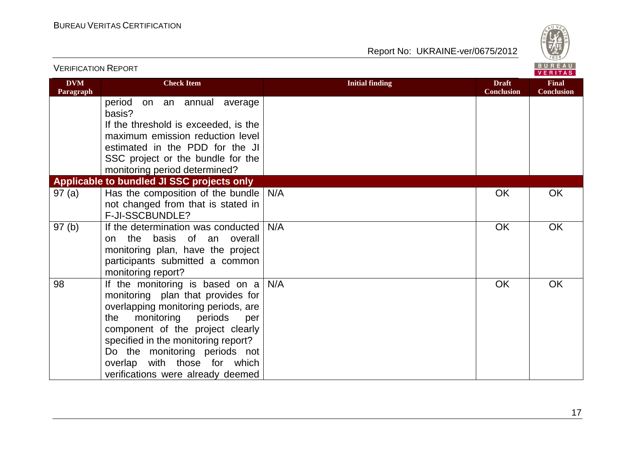

| <b>VERIFICATION REPORT</b> |                                                                                                                                                                                                                                                                                                                                     |                        |                                   |                                   |
|----------------------------|-------------------------------------------------------------------------------------------------------------------------------------------------------------------------------------------------------------------------------------------------------------------------------------------------------------------------------------|------------------------|-----------------------------------|-----------------------------------|
| <b>DVM</b><br>Paragraph    | <b>Check Item</b>                                                                                                                                                                                                                                                                                                                   | <b>Initial finding</b> | <b>Draft</b><br><b>Conclusion</b> | <b>Final</b><br><b>Conclusion</b> |
|                            | period<br>on an annual average<br>basis?                                                                                                                                                                                                                                                                                            |                        |                                   |                                   |
|                            | If the threshold is exceeded, is the<br>maximum emission reduction level                                                                                                                                                                                                                                                            |                        |                                   |                                   |
|                            | estimated in the PDD for the JI<br>SSC project or the bundle for the<br>monitoring period determined?                                                                                                                                                                                                                               |                        |                                   |                                   |
|                            | Applicable to bundled JI SSC projects only                                                                                                                                                                                                                                                                                          |                        |                                   |                                   |
| 97(a)                      | Has the composition of the bundle<br>not changed from that is stated in<br><b>F-JI-SSCBUNDLE?</b>                                                                                                                                                                                                                                   | N/A                    | <b>OK</b>                         | OK                                |
| 97(b)                      | If the determination was conducted<br>the basis of an overall<br>on<br>monitoring plan, have the project<br>participants submitted a common<br>monitoring report?                                                                                                                                                                   | N/A                    | OK                                | OK                                |
| 98                         | If the monitoring is based on a<br>monitoring plan that provides for<br>overlapping monitoring periods, are<br>monitoring<br>periods<br>the<br>per<br>component of the project clearly<br>specified in the monitoring report?<br>Do the monitoring periods not<br>overlap with those for which<br>verifications were already deemed | N/A                    | <b>OK</b>                         | <b>OK</b>                         |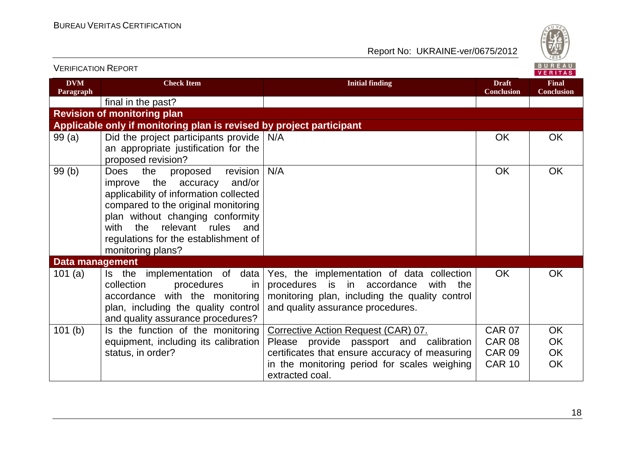

| <u>VENIFIUATIUN INEFUNT</u> |                                                                                                                                                                                                                                                                                                        |                                                                                                                                                                                 |                                   | VERITAS                           |
|-----------------------------|--------------------------------------------------------------------------------------------------------------------------------------------------------------------------------------------------------------------------------------------------------------------------------------------------------|---------------------------------------------------------------------------------------------------------------------------------------------------------------------------------|-----------------------------------|-----------------------------------|
| <b>DVM</b><br>Paragraph     | <b>Check Item</b>                                                                                                                                                                                                                                                                                      | <b>Initial finding</b>                                                                                                                                                          | <b>Draft</b><br><b>Conclusion</b> | <b>Final</b><br><b>Conclusion</b> |
|                             | final in the past?                                                                                                                                                                                                                                                                                     |                                                                                                                                                                                 |                                   |                                   |
|                             | <b>Revision of monitoring plan</b>                                                                                                                                                                                                                                                                     |                                                                                                                                                                                 |                                   |                                   |
|                             | Applicable only if monitoring plan is revised by project participant                                                                                                                                                                                                                                   |                                                                                                                                                                                 |                                   |                                   |
| 99(a)                       | Did the project participants provide<br>an appropriate justification for the<br>proposed revision?                                                                                                                                                                                                     | N/A                                                                                                                                                                             | <b>OK</b>                         | OK                                |
| 99(b)                       | the<br>revision<br><b>Does</b><br>proposed<br>and/or<br>improve the accuracy<br>applicability of information collected<br>compared to the original monitoring<br>plan without changing conformity<br>the<br>relevant rules<br>with<br>and<br>regulations for the establishment of<br>monitoring plans? | N/A                                                                                                                                                                             | <b>OK</b>                         | <b>OK</b>                         |
| <b>Data management</b>      |                                                                                                                                                                                                                                                                                                        |                                                                                                                                                                                 |                                   |                                   |
| 101(a)                      | Is the implementation of data<br>collection<br>procedures<br>in.<br>accordance with the monitoring<br>plan, including the quality control<br>and quality assurance procedures?                                                                                                                         | Yes, the implementation of data collection<br>procedures is in accordance<br>with<br>the<br>monitoring plan, including the quality control<br>and quality assurance procedures. | <b>OK</b>                         | <b>OK</b>                         |
| 101(b)                      | Is the function of the monitoring                                                                                                                                                                                                                                                                      | Corrective Action Request (CAR) 07.                                                                                                                                             | <b>CAR 07</b>                     | OK                                |
|                             | equipment, including its calibration                                                                                                                                                                                                                                                                   | Please provide passport and calibration                                                                                                                                         | <b>CAR 08</b>                     | OK                                |
|                             | status, in order?                                                                                                                                                                                                                                                                                      | certificates that ensure accuracy of measuring                                                                                                                                  | <b>CAR 09</b>                     | OK                                |
|                             |                                                                                                                                                                                                                                                                                                        | in the monitoring period for scales weighing<br>extracted coal.                                                                                                                 | <b>CAR 10</b>                     | <b>OK</b>                         |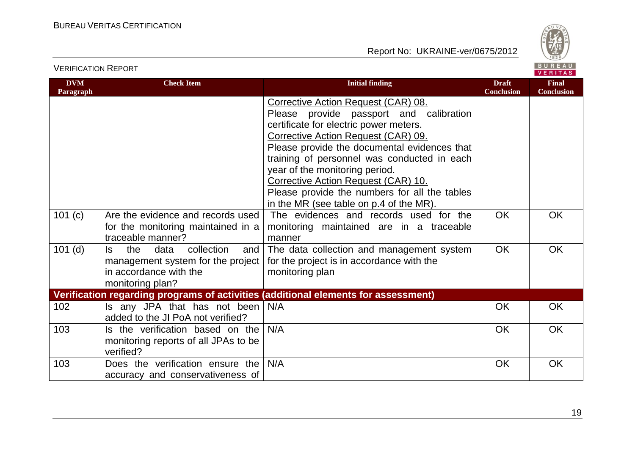



VERIFICATION REPORT

| <b>DVM</b>           | <b>Check Item</b>                                                                                                          | <b>Initial finding</b>                                                                                                                                                                                                                                                                                                                                                                                                                                                                                                              | <b>Draft</b><br><b>Conclusion</b> | <b>Final</b><br><b>Conclusion</b> |
|----------------------|----------------------------------------------------------------------------------------------------------------------------|-------------------------------------------------------------------------------------------------------------------------------------------------------------------------------------------------------------------------------------------------------------------------------------------------------------------------------------------------------------------------------------------------------------------------------------------------------------------------------------------------------------------------------------|-----------------------------------|-----------------------------------|
| Paragraph<br>101 (c) | Are the evidence and records used<br>for the monitoring maintained in a<br>traceable manner?                               | Corrective Action Request (CAR) 08.<br>Please provide passport and calibration<br>certificate for electric power meters.<br>Corrective Action Request (CAR) 09.<br>Please provide the documental evidences that<br>training of personnel was conducted in each<br>year of the monitoring period.<br>Corrective Action Request (CAR) 10.<br>Please provide the numbers for all the tables<br>in the MR (see table on p.4 of the MR).<br>The evidences and records used for the<br>monitoring maintained are in a traceable<br>manner | <b>OK</b>                         | <b>OK</b>                         |
| $101$ (d)            | the<br>collection<br>data<br>ls.<br>and<br>management system for the project<br>in accordance with the<br>monitoring plan? | The data collection and management system<br>for the project is in accordance with the<br>monitoring plan                                                                                                                                                                                                                                                                                                                                                                                                                           | <b>OK</b>                         | <b>OK</b>                         |
|                      |                                                                                                                            | Verification regarding programs of activities (additional elements for assessment)                                                                                                                                                                                                                                                                                                                                                                                                                                                  |                                   |                                   |
| 102                  | Is any JPA that has not been<br>added to the JI PoA not verified?                                                          | N/A                                                                                                                                                                                                                                                                                                                                                                                                                                                                                                                                 | <b>OK</b>                         | <b>OK</b>                         |
| 103                  | Is the verification based on the<br>monitoring reports of all JPAs to be<br>verified?                                      | N/A                                                                                                                                                                                                                                                                                                                                                                                                                                                                                                                                 | <b>OK</b>                         | <b>OK</b>                         |
| 103                  | Does the verification ensure the<br>accuracy and conservativeness of                                                       | N/A                                                                                                                                                                                                                                                                                                                                                                                                                                                                                                                                 | OK                                | OK                                |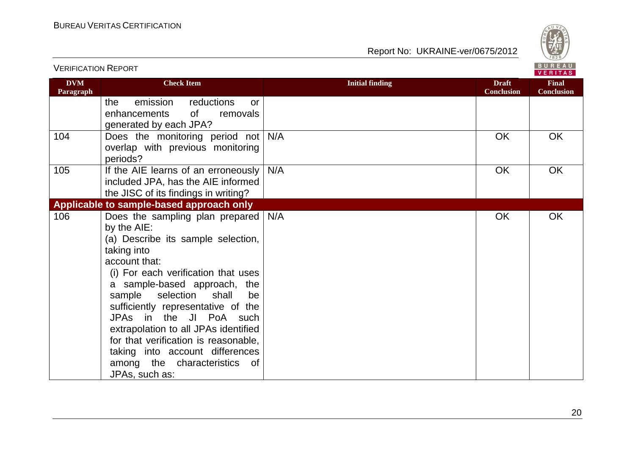VERIFICATION REPORT



| <b>DVM</b><br>Paragraph | <b>Check Item</b>                                                                                                                                                                                                                                                                                                                                                                                                                                                          | <b>Initial finding</b> | <b>Draft</b><br><b>Conclusion</b> | <b>Final</b><br><b>Conclusion</b> |
|-------------------------|----------------------------------------------------------------------------------------------------------------------------------------------------------------------------------------------------------------------------------------------------------------------------------------------------------------------------------------------------------------------------------------------------------------------------------------------------------------------------|------------------------|-----------------------------------|-----------------------------------|
|                         | reductions<br>emission<br>the<br>or<br>0f<br>enhancements<br>removals<br>generated by each JPA?                                                                                                                                                                                                                                                                                                                                                                            |                        |                                   |                                   |
| 104                     | Does the monitoring period not<br>overlap with previous monitoring<br>periods?                                                                                                                                                                                                                                                                                                                                                                                             | N/A                    | <b>OK</b>                         | <b>OK</b>                         |
| 105                     | If the AIE learns of an erroneously<br>included JPA, has the AIE informed<br>the JISC of its findings in writing?                                                                                                                                                                                                                                                                                                                                                          | N/A                    | <b>OK</b>                         | OK                                |
|                         | Applicable to sample-based approach only                                                                                                                                                                                                                                                                                                                                                                                                                                   |                        |                                   |                                   |
| 106                     | Does the sampling plan prepared<br>by the AIE:<br>(a) Describe its sample selection,<br>taking into<br>account that:<br>(i) For each verification that uses<br>a sample-based approach, the<br>sample<br>selection<br>shall<br>be<br>sufficiently representative of the<br>JPAs in the JI PoA such<br>extrapolation to all JPAs identified<br>for that verification is reasonable,<br>taking into account differences<br>among the characteristics<br>of<br>JPAs, such as: | N/A                    | <b>OK</b>                         | OK                                |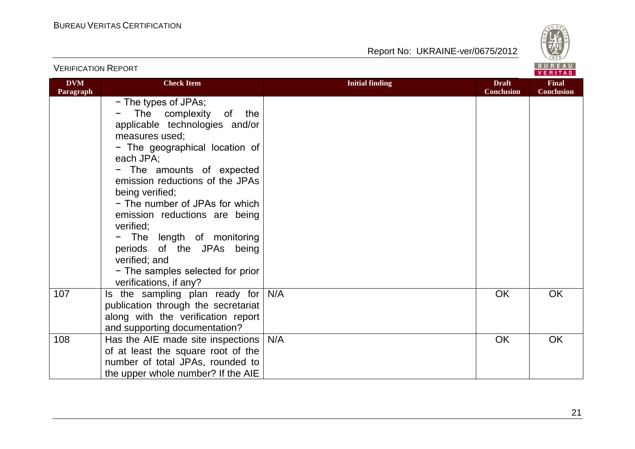

|                         |                                                                                                                                                                                                                                                                                                                                                                                                                                                                                        |                        |                                   | <b>VERIIAS</b>                    |
|-------------------------|----------------------------------------------------------------------------------------------------------------------------------------------------------------------------------------------------------------------------------------------------------------------------------------------------------------------------------------------------------------------------------------------------------------------------------------------------------------------------------------|------------------------|-----------------------------------|-----------------------------------|
| <b>DVM</b><br>Paragraph | <b>Check Item</b>                                                                                                                                                                                                                                                                                                                                                                                                                                                                      | <b>Initial finding</b> | <b>Draft</b><br><b>Conclusion</b> | <b>Final</b><br><b>Conclusion</b> |
|                         | - The types of JPAs;<br>The complexity<br>of<br>the<br>applicable technologies and/or<br>measures used;<br>- The geographical location of<br>each JPA;<br>- The amounts of expected<br>emission reductions of the JPAs<br>being verified;<br>- The number of JPAs for which<br>emission reductions are being<br>verified;<br>The length of monitoring<br>$\qquad \qquad -$<br>periods of the JPAs being<br>verified; and<br>- The samples selected for prior<br>verifications, if any? |                        |                                   |                                   |
| 107                     | Is the sampling plan ready for<br>publication through the secretariat<br>along with the verification report<br>and supporting documentation?                                                                                                                                                                                                                                                                                                                                           | N/A                    | <b>OK</b>                         | <b>OK</b>                         |
| 108                     | Has the AIE made site inspections<br>of at least the square root of the<br>number of total JPAs, rounded to<br>the upper whole number? If the AIE                                                                                                                                                                                                                                                                                                                                      | N/A                    | <b>OK</b>                         | OK                                |

#### VERIFICATION REPORT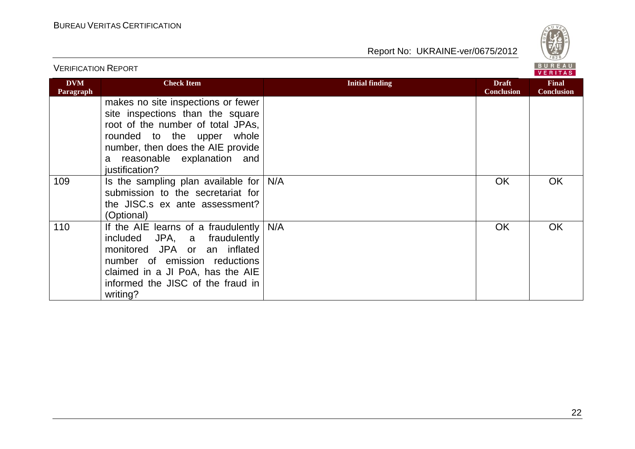

| <b>VERIFICATION REPORT</b> |                                                                                                                                                                                                                                     |                        |                                   | BUREAU<br><b>VERITAS</b>          |
|----------------------------|-------------------------------------------------------------------------------------------------------------------------------------------------------------------------------------------------------------------------------------|------------------------|-----------------------------------|-----------------------------------|
| <b>DVM</b><br>Paragraph    | <b>Check Item</b>                                                                                                                                                                                                                   | <b>Initial finding</b> | <b>Draft</b><br><b>Conclusion</b> | <b>Final</b><br><b>Conclusion</b> |
|                            | makes no site inspections or fewer<br>site inspections than the square<br>root of the number of total JPAs,<br>whole<br>rounded to the upper<br>number, then does the AIE provide<br>a reasonable explanation and<br>justification? |                        |                                   |                                   |
| 109                        | Is the sampling plan available for<br>submission to the secretariat for<br>the JISC.s ex ante assessment?<br>(Optional)                                                                                                             | N/A                    | <b>OK</b>                         | <b>OK</b>                         |
| 110                        | If the AIE learns of a fraudulently<br>included JPA, a fraudulently<br>monitored JPA or an inflated<br>number of emission reductions<br>claimed in a JI PoA, has the AIE<br>informed the JISC of the fraud in<br>writing?           | N/A                    | OK                                | <b>OK</b>                         |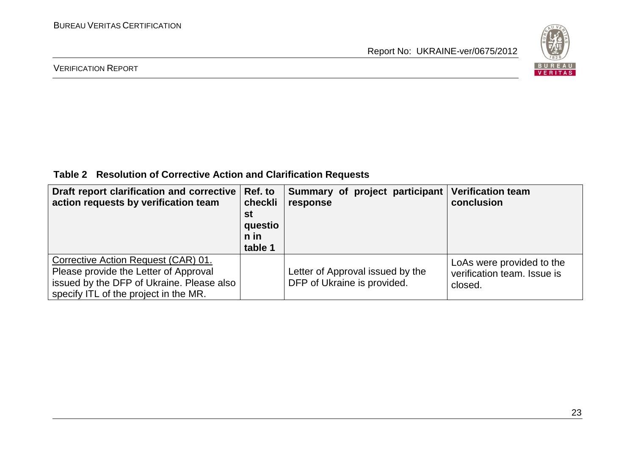

#### VERIFICATION REPORT

**Table 2 Resolution of Corrective Action and Clarification Requests**

| Draft report clarification and corrective<br>action requests by verification team                                                                                  | Ref. to<br>checkli<br>st<br>questio<br>$n$ in<br>table 1 | Summary of project participant<br>response                      | <b>Verification team</b><br>conclusion                              |
|--------------------------------------------------------------------------------------------------------------------------------------------------------------------|----------------------------------------------------------|-----------------------------------------------------------------|---------------------------------------------------------------------|
| Corrective Action Request (CAR) 01.<br>Please provide the Letter of Approval<br>issued by the DFP of Ukraine. Please also<br>specify ITL of the project in the MR. |                                                          | Letter of Approval issued by the<br>DFP of Ukraine is provided. | LoAs were provided to the<br>verification team. Issue is<br>closed. |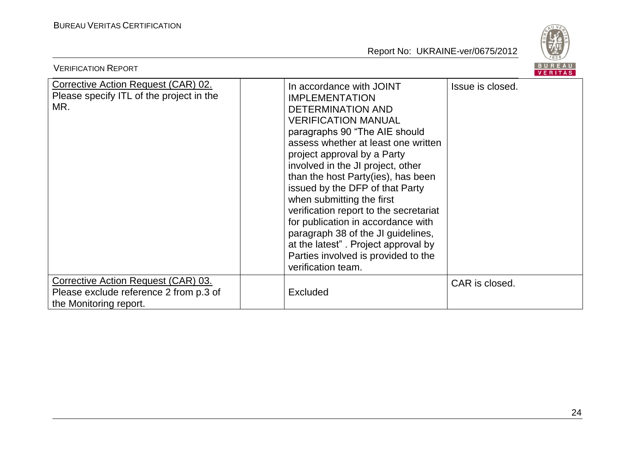

| <b>VERIFICATION REPORT</b>                                                                                     |                                                                                                                                                                                                                                                                                                                                                                                                                                                                                                                                                                                         | BUREAU<br><b>VERITAS</b> |
|----------------------------------------------------------------------------------------------------------------|-----------------------------------------------------------------------------------------------------------------------------------------------------------------------------------------------------------------------------------------------------------------------------------------------------------------------------------------------------------------------------------------------------------------------------------------------------------------------------------------------------------------------------------------------------------------------------------------|--------------------------|
| <b>Corrective Action Request (CAR) 02.</b><br>Please specify ITL of the project in the<br>MR.                  | In accordance with JOINT<br><b>IMPLEMENTATION</b><br><b>DETERMINATION AND</b><br><b>VERIFICATION MANUAL</b><br>paragraphs 90 "The AIE should<br>assess whether at least one written<br>project approval by a Party<br>involved in the JI project, other<br>than the host Party(ies), has been<br>issued by the DFP of that Party<br>when submitting the first<br>verification report to the secretariat<br>for publication in accordance with<br>paragraph 38 of the JI guidelines,<br>at the latest". Project approval by<br>Parties involved is provided to the<br>verification team. | Issue is closed.         |
| <b>Corrective Action Request (CAR) 03.</b><br>Please exclude reference 2 from p.3 of<br>the Monitoring report. | <b>Excluded</b>                                                                                                                                                                                                                                                                                                                                                                                                                                                                                                                                                                         | CAR is closed.           |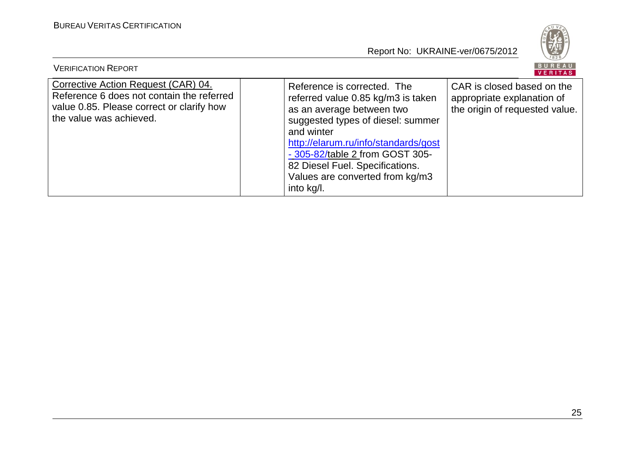

| <b>VERIFICATION REPORT</b>                                                                                                                               |                                                                                                                                                                                                                                                                                                                  | BUREAU<br>VERITAS                                                                          |
|----------------------------------------------------------------------------------------------------------------------------------------------------------|------------------------------------------------------------------------------------------------------------------------------------------------------------------------------------------------------------------------------------------------------------------------------------------------------------------|--------------------------------------------------------------------------------------------|
| Corrective Action Request (CAR) 04.<br>Reference 6 does not contain the referred<br>value 0.85. Please correct or clarify how<br>the value was achieved. | Reference is corrected. The<br>referred value 0.85 kg/m3 is taken<br>as an average between two<br>suggested types of diesel: summer<br>and winter<br>http://elarum.ru/info/standards/gost<br>- 305-82/table 2 from GOST 305-<br>82 Diesel Fuel. Specifications.<br>Values are converted from kg/m3<br>into kg/l. | CAR is closed based on the<br>appropriate explanation of<br>the origin of requested value. |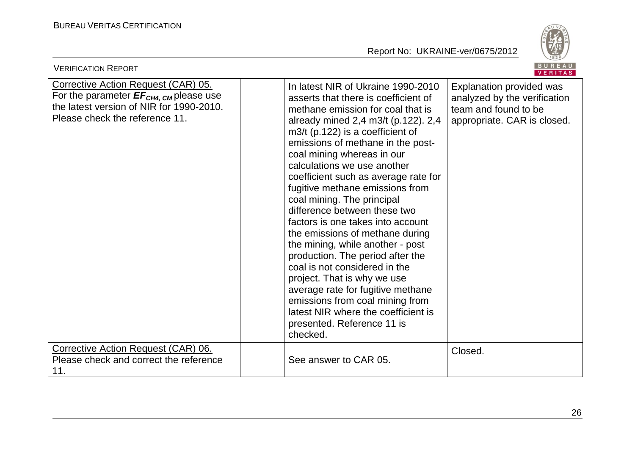

| <b>VERIFICATION REPORT</b>                                                                                                                                                     |                                                                                                                                                                                                                                                                                                                                                                                                                                                                                                                                                                                                                                                                                                                                                                                                                  | BUREAU<br><b>VERITAS</b>                                                                                        |
|--------------------------------------------------------------------------------------------------------------------------------------------------------------------------------|------------------------------------------------------------------------------------------------------------------------------------------------------------------------------------------------------------------------------------------------------------------------------------------------------------------------------------------------------------------------------------------------------------------------------------------------------------------------------------------------------------------------------------------------------------------------------------------------------------------------------------------------------------------------------------------------------------------------------------------------------------------------------------------------------------------|-----------------------------------------------------------------------------------------------------------------|
| <b>Corrective Action Request (CAR) 05.</b><br>For the parameter $EF_{CH4, \text{CM}}$ please use<br>the latest version of NIR for 1990-2010.<br>Please check the reference 11. | In latest NIR of Ukraine 1990-2010<br>asserts that there is coefficient of<br>methane emission for coal that is<br>already mined 2,4 m3/t (p.122). 2,4<br>$m3/t$ (p.122) is a coefficient of<br>emissions of methane in the post-<br>coal mining whereas in our<br>calculations we use another<br>coefficient such as average rate for<br>fugitive methane emissions from<br>coal mining. The principal<br>difference between these two<br>factors is one takes into account<br>the emissions of methane during<br>the mining, while another - post<br>production. The period after the<br>coal is not considered in the<br>project. That is why we use<br>average rate for fugitive methane<br>emissions from coal mining from<br>latest NIR where the coefficient is<br>presented. Reference 11 is<br>checked. | Explanation provided was<br>analyzed by the verification<br>team and found to be<br>appropriate. CAR is closed. |
| Corrective Action Request (CAR) 06.<br>Please check and correct the reference<br>11.                                                                                           | See answer to CAR 05.                                                                                                                                                                                                                                                                                                                                                                                                                                                                                                                                                                                                                                                                                                                                                                                            | Closed.                                                                                                         |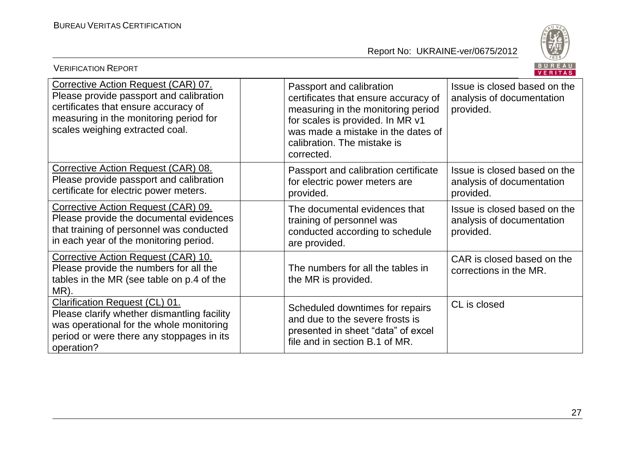

| BUREAU<br><b>VERIFICATION REPORT</b><br>VERITAS                                                                                                                                                     |                                                                                                                                                                                                                               |                                                                        |  |
|-----------------------------------------------------------------------------------------------------------------------------------------------------------------------------------------------------|-------------------------------------------------------------------------------------------------------------------------------------------------------------------------------------------------------------------------------|------------------------------------------------------------------------|--|
| Corrective Action Request (CAR) 07.<br>Please provide passport and calibration<br>certificates that ensure accuracy of<br>measuring in the monitoring period for<br>scales weighing extracted coal. | Passport and calibration<br>certificates that ensure accuracy of<br>measuring in the monitoring period<br>for scales is provided. In MR v1<br>was made a mistake in the dates of<br>calibration. The mistake is<br>corrected. | Issue is closed based on the<br>analysis of documentation<br>provided. |  |
| Corrective Action Request (CAR) 08.<br>Please provide passport and calibration<br>certificate for electric power meters.                                                                            | Passport and calibration certificate<br>for electric power meters are<br>provided.                                                                                                                                            | Issue is closed based on the<br>analysis of documentation<br>provided. |  |
| Corrective Action Request (CAR) 09.<br>Please provide the documental evidences<br>that training of personnel was conducted<br>in each year of the monitoring period.                                | The documental evidences that<br>training of personnel was<br>conducted according to schedule<br>are provided.                                                                                                                | Issue is closed based on the<br>analysis of documentation<br>provided. |  |
| Corrective Action Request (CAR) 10.<br>Please provide the numbers for all the<br>tables in the MR (see table on p.4 of the<br>MR).                                                                  | The numbers for all the tables in<br>the MR is provided.                                                                                                                                                                      | CAR is closed based on the<br>corrections in the MR.                   |  |
| Clarification Request (CL) 01.<br>Please clarify whether dismantling facility<br>was operational for the whole monitoring<br>period or were there any stoppages in its<br>operation?                | Scheduled downtimes for repairs<br>and due to the severe frosts is<br>presented in sheet "data" of excel<br>file and in section B.1 of MR.                                                                                    | CL is closed                                                           |  |